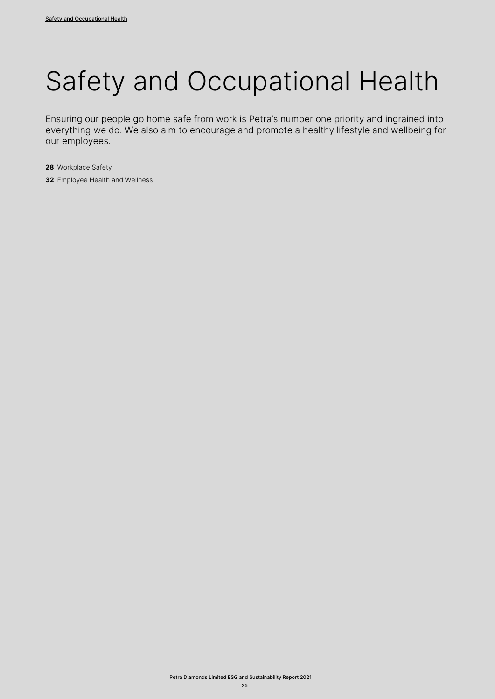# Safety and Occupational Health

Ensuring our people go home safe from work is Petra's number one priority and ingrained into everything we do. We also aim to encourage and promote a healthy lifestyle and wellbeing for our employees.

- **28** Workplace Safety
- **32** Employee Health and Wellness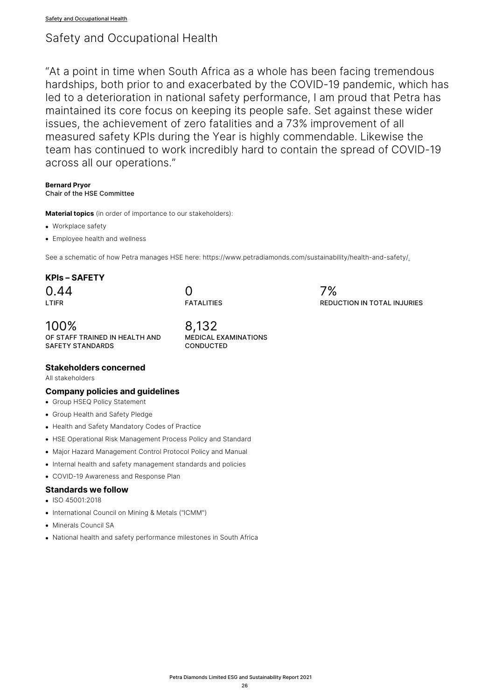# Safety and Occupational Health

"At a point in time when South Africa as a whole has been facing tremendous hardships, both prior to and exacerbated by the COVID-19 pandemic, which has led to a deterioration in national safety performance, I am proud that Petra has maintained its core focus on keeping its people safe. Set against these wider issues, the achievement of zero fatalities and a 73% improvement of all measured safety KPIs during the Year is highly commendable. Likewise the team has continued to work incredibly hard to contain the spread of COVID-19 across all our operations."

#### **Bernard Pryor** Chair of the HSE Committee

**Material topics** (in order of importance to our stakeholders):

- Workplace safety
- Employee health and wellness

See a schematic of how Petra manages HSE here: https://www.petradiamonds.com/sustainability/health-and-safety/.

# **KPIs – SAFETY**

 $0.44$ LTIFR

# $\Omega$ FATALITIES

100% OF STAFF TRAINED IN HEALTH AND SAFETY STANDARDS

8,132 MEDICAL EXAMINATIONS **CONDUCTED** 

# **Stakeholders concerned**

All stakeholders

# **Company policies and guidelines**

• Group HSEQ Policy Statement

- Group Health and Safety Pledge
- Health and Safety Mandatory Codes of Practice
- HSE Operational Risk Management Process Policy and Standard
- Major Hazard Management Control Protocol Policy and Manual
- Internal health and safety management standards and policies
- COVID-19 Awareness and Response Plan

## **Standards we follow**

- ISO 45001:2018
- International Council on Mining & Metals ("ICMM")
- Minerals Council SA
- National health and safety performance milestones in South Africa

7% REDUCTION IN TOTAL INJURIES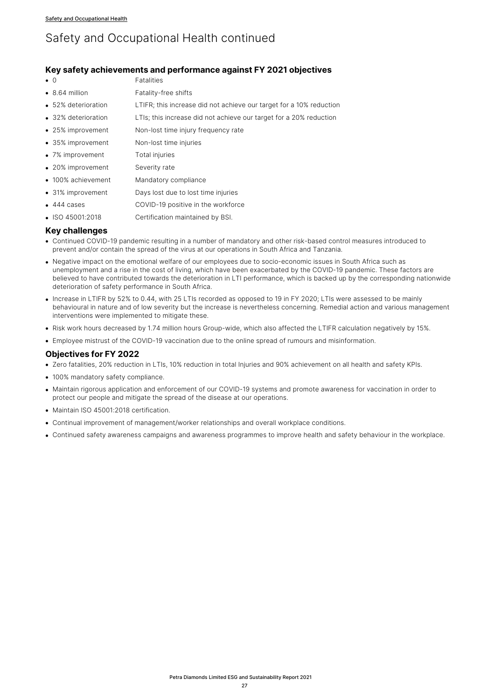# Safety and Occupational Health continued

# **Key safety achievements and performance against FY 2021 objectives**

- 0 Fatalities
- 8.64 million Fatality-free shifts
- 52% deterioration LTIFR; this increase did not achieve our target for a 10% reduction
- 32% deterioration LTIs; this increase did not achieve our target for a 20% reduction
- 25% improvement Non-lost time injury frequency rate
- 35% improvement Non-lost time injuries
- 7% improvement Total injuries
- 20% improvement Severity rate
- 100% achievement Mandatory compliance
- 31% improvement Days lost due to lost time injuries
- 444 cases COVID-19 positive in the workforce
- ISO 45001:2018 Certification maintained by BSI.

#### **Key challenges**

- Continued COVID-19 pandemic resulting in a number of mandatory and other risk-based control measures introduced to prevent and/or contain the spread of the virus at our operations in South Africa and Tanzania.
- Negative impact on the emotional welfare of our employees due to socio-economic issues in South Africa such as unemployment and a rise in the cost of living, which have been exacerbated by the COVID-19 pandemic. These factors are believed to have contributed towards the deterioration in LTI performance, which is backed up by the corresponding nationwide deterioration of safety performance in South Africa.
- Increase in LTIFR by 52% to 0.44, with 25 LTIs recorded as opposed to 19 in FY 2020; LTIs were assessed to be mainly behavioural in nature and of low severity but the increase is nevertheless concerning. Remedial action and various management interventions were implemented to mitigate these.
- Risk work hours decreased by 1.74 million hours Group-wide, which also affected the LTIFR calculation negatively by 15%.
- Employee mistrust of the COVID-19 vaccination due to the online spread of rumours and misinformation.

## **Objectives for FY 2022**

- Zero fatalities, 20% reduction in LTIs, 10% reduction in total Injuries and 90% achievement on all health and safety KPIs.
- 100% mandatory safety compliance.
- Maintain rigorous application and enforcement of our COVID-19 systems and promote awareness for vaccination in order to protect our people and mitigate the spread of the disease at our operations.
- Maintain ISO 45001:2018 certification.
- Continual improvement of management/worker relationships and overall workplace conditions.
- Continued safety awareness campaigns and awareness programmes to improve health and safety behaviour in the workplace.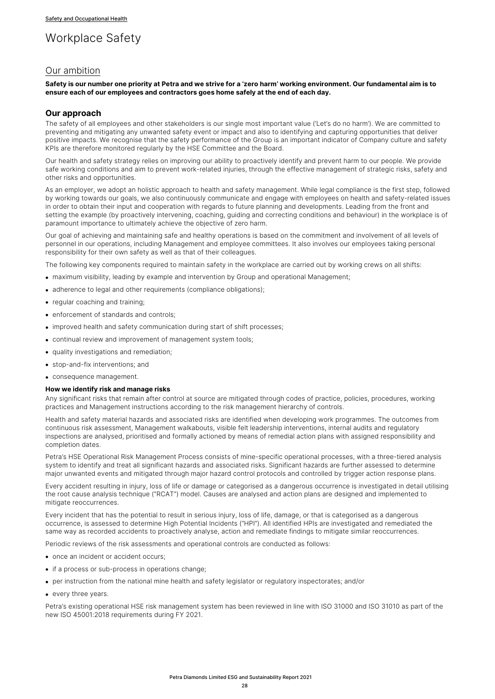# Workplace Safety

# Our ambition

**Safety is our number one priority at Petra and we strive for a 'zero harm' working environment. Our fundamental aim is to ensure each of our employees and contractors goes home safely at the end of each day.**

#### **Our approach**

The safety of all employees and other stakeholders is our single most important value ('Let's do no harm'). We are committed to preventing and mitigating any unwanted safety event or impact and also to identifying and capturing opportunities that deliver positive impacts. We recognise that the safety performance of the Group is an important indicator of Company culture and safety KPIs are therefore monitored regularly by the HSE Committee and the Board.

Our health and safety strategy relies on improving our ability to proactively identify and prevent harm to our people. We provide safe working conditions and aim to prevent work-related injuries, through the effective management of strategic risks, safety and other risks and opportunities.

As an employer, we adopt an holistic approach to health and safety management. While legal compliance is the first step, followed by working towards our goals, we also continuously communicate and engage with employees on health and safety-related issues in order to obtain their input and cooperation with regards to future planning and developments. Leading from the front and setting the example (by proactively intervening, coaching, guiding and correcting conditions and behaviour) in the workplace is of paramount importance to ultimately achieve the objective of zero harm.

Our goal of achieving and maintaining safe and healthy operations is based on the commitment and involvement of all levels of personnel in our operations, including Management and employee committees. It also involves our employees taking personal responsibility for their own safety as well as that of their colleagues.

The following key components required to maintain safety in the workplace are carried out by working crews on all shifts:

- maximum visibility, leading by example and intervention by Group and operational Management;
- adherence to legal and other requirements (compliance obligations):
- regular coaching and training;
- enforcement of standards and controls;
- improved health and safety communication during start of shift processes;
- continual review and improvement of management system tools;
- quality investigations and remediation;
- stop-and-fix interventions; and
- consequence management.

#### **How we identify risk and manage risks**

Any significant risks that remain after control at source are mitigated through codes of practice, policies, procedures, working practices and Management instructions according to the risk management hierarchy of controls.

Health and safety material hazards and associated risks are identified when developing work programmes. The outcomes from continuous risk assessment, Management walkabouts, visible felt leadership interventions, internal audits and regulatory inspections are analysed, prioritised and formally actioned by means of remedial action plans with assigned responsibility and completion dates.

Petra's HSE Operational Risk Management Process consists of mine-specific operational processes, with a three-tiered analysis system to identify and treat all significant hazards and associated risks. Significant hazards are further assessed to determine major unwanted events and mitigated through major hazard control protocols and controlled by trigger action response plans.

Every accident resulting in injury, loss of life or damage or categorised as a dangerous occurrence is investigated in detail utilising the root cause analysis technique ("RCAT") model. Causes are analysed and action plans are designed and implemented to mitigate reoccurrences.

Every incident that has the potential to result in serious injury, loss of life, damage, or that is categorised as a dangerous occurrence, is assessed to determine High Potential Incidents ("HPI"). All identified HPIs are investigated and remediated the same way as recorded accidents to proactively analyse, action and remediate findings to mitigate similar reoccurrences.

Periodic reviews of the risk assessments and operational controls are conducted as follows:

- once an incident or accident occurs;
- if a process or sub-process in operations change;
- per instruction from the national mine health and safety legislator or regulatory inspectorates; and/or
- every three years.

Petra's existing operational HSE risk management system has been reviewed in line with ISO 31000 and ISO 31010 as part of the new ISO 45001:2018 requirements during FY 2021.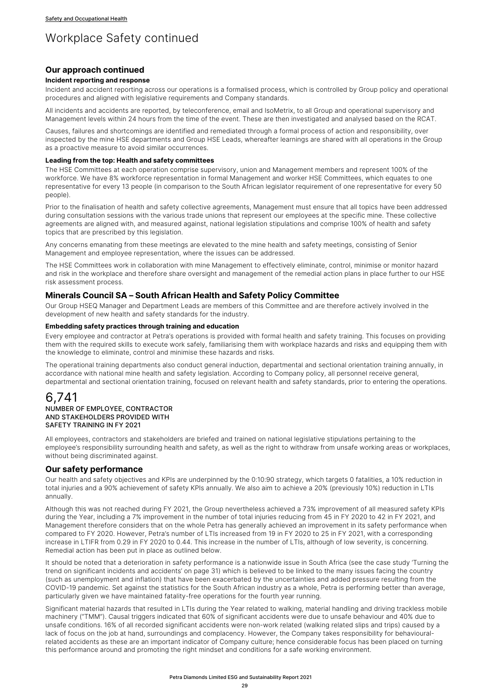# Workplace Safety continued

## **Our approach continued**

### **Incident reporting and response**

Incident and accident reporting across our operations is a formalised process, which is controlled by Group policy and operational procedures and aligned with legislative requirements and Company standards.

All incidents and accidents are reported, by teleconference, email and IsoMetrix, to all Group and operational supervisory and Management levels within 24 hours from the time of the event. These are then investigated and analysed based on the RCAT.

Causes, failures and shortcomings are identified and remediated through a formal process of action and responsibility, over inspected by the mine HSE departments and Group HSE Leads, whereafter learnings are shared with all operations in the Group as a proactive measure to avoid similar occurrences.

#### **Leading from the top: Health and safety committees**

The HSE Committees at each operation comprise supervisory, union and Management members and represent 100% of the workforce. We have 8% workforce representation in formal Management and worker HSE Committees, which equates to one representative for every 13 people (in comparison to the South African legislator requirement of one representative for every 50 people).

Prior to the finalisation of health and safety collective agreements, Management must ensure that all topics have been addressed during consultation sessions with the various trade unions that represent our employees at the specific mine. These collective agreements are aligned with, and measured against, national legislation stipulations and comprise 100% of health and safety topics that are prescribed by this legislation.

Any concerns emanating from these meetings are elevated to the mine health and safety meetings, consisting of Senior Management and employee representation, where the issues can be addressed.

The HSE Committees work in collaboration with mine Management to effectively eliminate, control, minimise or monitor hazard and risk in the workplace and therefore share oversight and management of the remedial action plans in place further to our HSE risk assessment process.

# **Minerals Council SA – South African Health and Safety Policy Committee**

Our Group HSEQ Manager and Department Leads are members of this Committee and are therefore actively involved in the development of new health and safety standards for the industry.

#### **Embedding safety practices through training and education**

Every employee and contractor at Petra's operations is provided with formal health and safety training. This focuses on providing them with the required skills to execute work safely, familiarising them with workplace hazards and risks and equipping them with the knowledge to eliminate, control and minimise these hazards and risks.

The operational training departments also conduct general induction, departmental and sectional orientation training annually, in accordance with national mine health and safety legislation. According to Company policy, all personnel receive general, departmental and sectional orientation training, focused on relevant health and safety standards, prior to entering the operations.

### 6,741 NUMBER OF EMPLOYEE, CONTRACTOR AND STAKEHOLDERS PROVIDED WITH SAFETY TRAINING IN FY 2021

All employees, contractors and stakeholders are briefed and trained on national legislative stipulations pertaining to the employee's responsibility surrounding health and safety, as well as the right to withdraw from unsafe working areas or workplaces, without being discriminated against.

## **Our safety performance**

Our health and safety objectives and KPIs are underpinned by the 0:10:90 strategy, which targets 0 fatalities, a 10% reduction in total injuries and a 90% achievement of safety KPIs annually. We also aim to achieve a 20% (previously 10%) reduction in LTIs annually.

Although this was not reached during FY 2021, the Group nevertheless achieved a 73% improvement of all measured safety KPIs during the Year, including a 7% improvement in the number of total injuries reducing from 45 in FY 2020 to 42 in FY 2021, and Management therefore considers that on the whole Petra has generally achieved an improvement in its safety performance when compared to FY 2020. However, Petra's number of LTIs increased from 19 in FY 2020 to 25 in FY 2021, with a corresponding increase in LTIFR from 0.29 in FY 2020 to 0.44. This increase in the number of LTIs, although of low severity, is concerning. Remedial action has been put in place as outlined below.

It should be noted that a deterioration in safety performance is a nationwide issue in South Africa (see the case study 'Turning the trend on significant incidents and accidents' on page 31) which is believed to be linked to the many issues facing the country (such as unemployment and inflation) that have been exacerbated by the uncertainties and added pressure resulting from the COVID-19 pandemic. Set against the statistics for the South African industry as a whole, Petra is performing better than average, particularly given we have maintained fatality-free operations for the fourth year running.

Significant material hazards that resulted in LTIs during the Year related to walking, material handling and driving trackless mobile machinery ("TMM"). Causal triggers indicated that 60% of significant accidents were due to unsafe behaviour and 40% due to unsafe conditions. 16% of all recorded significant accidents were non-work related (walking related slips and trips) caused by a lack of focus on the job at hand, surroundings and complacency. However, the Company takes responsibility for behaviouralrelated accidents as these are an important indicator of Company culture; hence considerable focus has been placed on turning this performance around and promoting the right mindset and conditions for a safe working environment.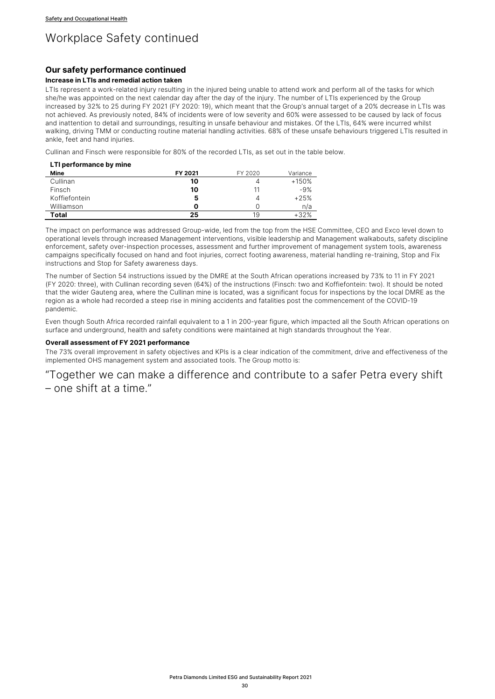# Workplace Safety continued

# **Our safety performance continued**

## **Increase in LTIs and remedial action taken**

LTIs represent a work-related injury resulting in the injured being unable to attend work and perform all of the tasks for which she/he was appointed on the next calendar day after the day of the injury. The number of LTIs experienced by the Group increased by 32% to 25 during FY 2021 (FY 2020: 19), which meant that the Group's annual target of a 20% decrease in LTIs was not achieved. As previously noted, 84% of incidents were of low severity and 60% were assessed to be caused by lack of focus and inattention to detail and surroundings, resulting in unsafe behaviour and mistakes. Of the LTIs, 64% were incurred whilst walking, driving TMM or conducting routine material handling activities. 68% of these unsafe behaviours triggered LTIs resulted in ankle, feet and hand injuries.

Cullinan and Finsch were responsible for 80% of the recorded LTIs, as set out in the table below.

#### **LTI performance by mine**

| Mine          | FY 2021 | FY 2020 | Variance |
|---------------|---------|---------|----------|
| Cullinan      | 10      | 4       | $+150%$  |
| Finsch        | 10      | 11      | $-9%$    |
| Koffiefontein | 5       |         | $+25%$   |
| Williamson    |         |         | n/a      |
| Total         | 25      | 19      | $+32%$   |

The impact on performance was addressed Group-wide, led from the top from the HSE Committee, CEO and Exco level down to operational levels through increased Management interventions, visible leadership and Management walkabouts, safety discipline enforcement, safety over-inspection processes, assessment and further improvement of management system tools, awareness campaigns specifically focused on hand and foot injuries, correct footing awareness, material handling re-training, Stop and Fix instructions and Stop for Safety awareness days.

The number of Section 54 instructions issued by the DMRE at the South African operations increased by 73% to 11 in FY 2021 (FY 2020: three), with Cullinan recording seven (64%) of the instructions (Finsch: two and Koffiefontein: two). It should be noted that the wider Gauteng area, where the Cullinan mine is located, was a significant focus for inspections by the local DMRE as the region as a whole had recorded a steep rise in mining accidents and fatalities post the commencement of the COVID-19 pandemic.

Even though South Africa recorded rainfall equivalent to a 1 in 200-year figure, which impacted all the South African operations on surface and underground, health and safety conditions were maintained at high standards throughout the Year.

#### **Overall assessment of FY 2021 performance**

The 73% overall improvement in safety objectives and KPIs is a clear indication of the commitment, drive and effectiveness of the implemented OHS management system and associated tools. The Group motto is:

"Together we can make a difference and contribute to a safer Petra every shift – one shift at a time."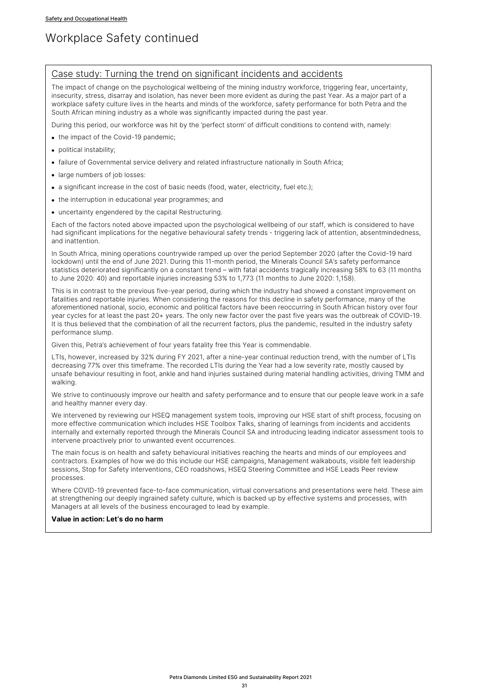# Workplace Safety continued

# Case study: Turning the trend on significant incidents and accidents

The impact of change on the psychological wellbeing of the mining industry workforce, triggering fear, uncertainty, insecurity, stress, disarray and isolation, has never been more evident as during the past Year. As a major part of a workplace safety culture lives in the hearts and minds of the workforce, safety performance for both Petra and the South African mining industry as a whole was significantly impacted during the past year.

During this period, our workforce was hit by the 'perfect storm' of difficult conditions to contend with, namely:

- the impact of the Covid-19 pandemic:
- political instability;
- failure of Governmental service delivery and related infrastructure nationally in South Africa;
- large numbers of job losses:
- a significant increase in the cost of basic needs (food, water, electricity, fuel etc.):
- the interruption in educational year programmes; and
- uncertainty engendered by the capital Restructuring.

Each of the factors noted above impacted upon the psychological wellbeing of our staff, which is considered to have had significant implications for the negative behavioural safety trends - triggering lack of attention, absentmindedness, and inattention.

In South Africa, mining operations countrywide ramped up over the period September 2020 (after the Covid-19 hard lockdown) until the end of June 2021. During this 11-month period, the Minerals Council SA's safety performance statistics deteriorated significantly on a constant trend – with fatal accidents tragically increasing 58% to 63 (11 months to June 2020: 40) and reportable injuries increasing 53% to 1,773 (11 months to June 2020: 1,158).

This is in contrast to the previous five-year period, during which the industry had showed a constant improvement on fatalities and reportable injuries. When considering the reasons for this decline in safety performance, many of the aforementioned national, socio, economic and political factors have been reoccurring in South African history over four year cycles for at least the past 20+ years. The only new factor over the past five years was the outbreak of COVID-19. It is thus believed that the combination of all the recurrent factors, plus the pandemic, resulted in the industry safety performance slump.

Given this, Petra's achievement of four years fatality free this Year is commendable.

LTIs, however, increased by 32% during FY 2021, after a nine-year continual reduction trend, with the number of LTIs decreasing 77% over this timeframe. The recorded LTIs during the Year had a low severity rate, mostly caused by unsafe behaviour resulting in foot, ankle and hand injuries sustained during material handling activities, driving TMM and walking.

We strive to continuously improve our health and safety performance and to ensure that our people leave work in a safe and healthy manner every day.

We intervened by reviewing our HSEQ management system tools, improving our HSE start of shift process, focusing on more effective communication which includes HSE Toolbox Talks, sharing of learnings from incidents and accidents internally and externally reported through the Minerals Council SA and introducing leading indicator assessment tools to intervene proactively prior to unwanted event occurrences.

The main focus is on health and safety behavioural initiatives reaching the hearts and minds of our employees and contractors. Examples of how we do this include our HSE campaigns, Management walkabouts, visible felt leadership sessions, Stop for Safety interventions, CEO roadshows, HSEQ Steering Committee and HSE Leads Peer review processes.

Where COVID-19 prevented face-to-face communication, virtual conversations and presentations were held. These aim at strengthening our deeply ingrained safety culture, which is backed up by effective systems and processes, with Managers at all levels of the business encouraged to lead by example.

#### **Value in action: Let's do no harm**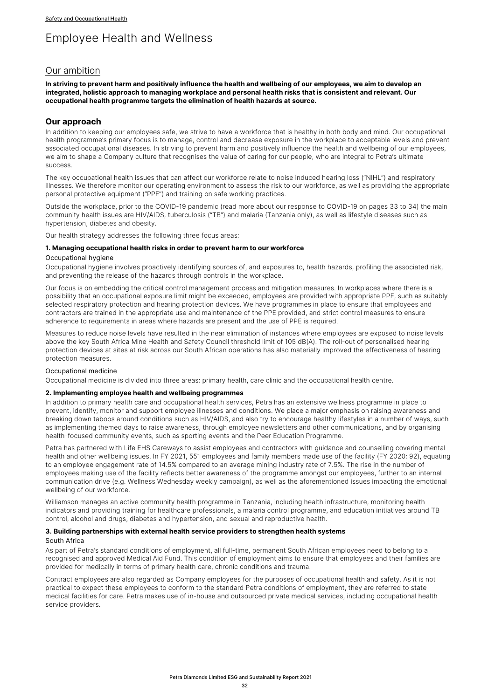# Employee Health and Wellness

# Our ambition

**In striving to prevent harm and positively influence the health and wellbeing of our employees, we aim to develop an integrated, holistic approach to managing workplace and personal health risks that is consistent and relevant. Our occupational health programme targets the elimination of health hazards at source.**

# **Our approach**

In addition to keeping our employees safe, we strive to have a workforce that is healthy in both body and mind. Our occupational health programme's primary focus is to manage, control and decrease exposure in the workplace to acceptable levels and prevent associated occupational diseases. In striving to prevent harm and positively influence the health and wellbeing of our employees, we aim to shape a Company culture that recognises the value of caring for our people, who are integral to Petra's ultimate success.

The key occupational health issues that can affect our workforce relate to noise induced hearing loss ("NIHL") and respiratory illnesses. We therefore monitor our operating environment to assess the risk to our workforce, as well as providing the appropriate personal protective equipment ("PPE") and training on safe working practices.

Outside the workplace, prior to the COVID-19 pandemic (read more about our response to COVID-19 on pages 33 to 34) the main community health issues are HIV/AIDS, tuberculosis ("TB") and malaria (Tanzania only), as well as lifestyle diseases such as hypertension, diabetes and obesity.

Our health strategy addresses the following three focus areas:

#### **1. Managing occupational health risks in order to prevent harm to our workforce**

#### Occupational hygiene

Occupational hygiene involves proactively identifying sources of, and exposures to, health hazards, profiling the associated risk, and preventing the release of the hazards through controls in the workplace.

Our focus is on embedding the critical control management process and mitigation measures. In workplaces where there is a possibility that an occupational exposure limit might be exceeded, employees are provided with appropriate PPE, such as suitably selected respiratory protection and hearing protection devices. We have programmes in place to ensure that employees and contractors are trained in the appropriate use and maintenance of the PPE provided, and strict control measures to ensure adherence to requirements in areas where hazards are present and the use of PPE is required.

Measures to reduce noise levels have resulted in the near elimination of instances where employees are exposed to noise levels above the key South Africa Mine Health and Safety Council threshold limit of 105 dB(A). The roll-out of personalised hearing protection devices at sites at risk across our South African operations has also materially improved the effectiveness of hearing protection measures.

#### Occupational medicine

Occupational medicine is divided into three areas: primary health, care clinic and the occupational health centre.

#### **2. Implementing employee health and wellbeing programmes**

In addition to primary health care and occupational health services, Petra has an extensive wellness programme in place to prevent, identify, monitor and support employee illnesses and conditions. We place a major emphasis on raising awareness and breaking down taboos around conditions such as HIV/AIDS, and also try to encourage healthy lifestyles in a number of ways, such as implementing themed days to raise awareness, through employee newsletters and other communications, and by organising health-focused community events, such as sporting events and the Peer Education Programme.

Petra has partnered with Life EHS Careways to assist employees and contractors with guidance and counselling covering mental health and other wellbeing issues. In FY 2021, 551 employees and family members made use of the facility (FY 2020: 92), equating to an employee engagement rate of 14.5% compared to an average mining industry rate of 7.5%. The rise in the number of employees making use of the facility reflects better awareness of the programme amongst our employees, further to an internal communication drive (e.g. Wellness Wednesday weekly campaign), as well as the aforementioned issues impacting the emotional wellbeing of our workforce.

Williamson manages an active community health programme in Tanzania, including health infrastructure, monitoring health indicators and providing training for healthcare professionals, a malaria control programme, and education initiatives around TB control, alcohol and drugs, diabetes and hypertension, and sexual and reproductive health.

#### **3. Building partnerships with external health service providers to strengthen health systems**

#### South Africa

As part of Petra's standard conditions of employment, all full-time, permanent South African employees need to belong to a recognised and approved Medical Aid Fund. This condition of employment aims to ensure that employees and their families are provided for medically in terms of primary health care, chronic conditions and trauma.

Contract employees are also regarded as Company employees for the purposes of occupational health and safety. As it is not practical to expect these employees to conform to the standard Petra conditions of employment, they are referred to state medical facilities for care. Petra makes use of in-house and outsourced private medical services, including occupational health service providers.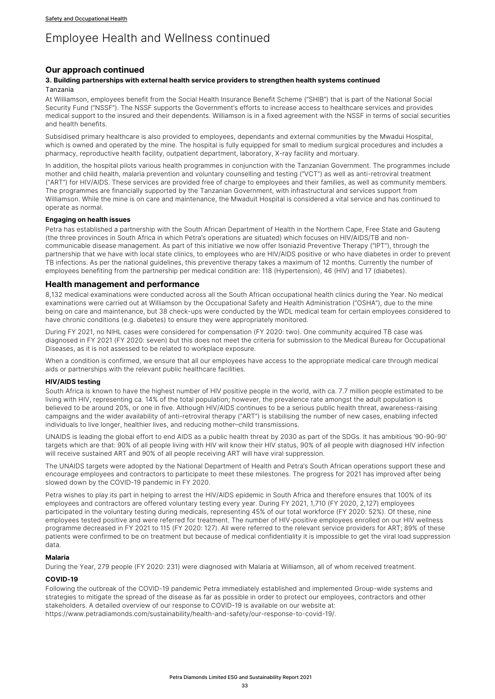# Employee Health and Wellness continued

# **Our approach continued**

## **3. Building partnerships with external health service providers to strengthen health systems continued** Tanzania

At Williamson, employees benefit from the Social Health Insurance Benefit Scheme ("SHIB") that is part of the National Social Security Fund ("NSSF"). The NSSF supports the Government's efforts to increase access to healthcare services and provides medical support to the insured and their dependents. Williamson is in a fixed agreement with the NSSF in terms of social securities and health benefits.

Subsidised primary healthcare is also provided to employees, dependants and external communities by the Mwadui Hospital, which is owned and operated by the mine. The hospital is fully equipped for small to medium surgical procedures and includes a pharmacy, reproductive health facility, outpatient department, laboratory, X-ray facility and mortuary.

In addition, the hospital pilots various health programmes in conjunction with the Tanzanian Government. The programmes include mother and child health, malaria prevention and voluntary counselling and testing ("VCT") as well as anti-retroviral treatment ("ART") for HIV/AIDS. These services are provided free of charge to employees and their families, as well as community members. The programmes are financially supported by the Tanzanian Government, with infrastructural and services support from Williamson. While the mine is on care and maintenance, the Mwaduit Hospital is considered a vital service and has continued to operate as normal.

## **Engaging on health issues**

Petra has established a partnership with the South African Department of Health in the Northern Cape, Free State and Gauteng (the three provinces in South Africa in which Petra's operations are situated) which focuses on HIV/AIDS/TB and noncommunicable disease management. As part of this initiative we now offer Isoniazid Preventive Therapy ("IPT"), through the partnership that we have with local state clinics, to employees who are HIV/AIDS positive or who have diabetes in order to prevent TB infections. As per the national guidelines, this preventive therapy takes a maximum of 12 months. Currently the number of employees benefiting from the partnership per medical condition are: 118 (Hypertension), 46 (HIV) and 17 (diabetes).

## **Health management and performance**

8,132 medical examinations were conducted across all the South African occupational health clinics during the Year. No medical examinations were carried out at Williamson by the Occupational Safety and Health Administration ("OSHA"), due to the mine being on care and maintenance, but 38 check-ups were conducted by the WDL medical team for certain employees considered to have chronic conditions (e.g. diabetes) to ensure they were appropriately monitored.

During FY 2021, no NIHL cases were considered for compensation (FY 2020: two). One community acquired TB case was diagnosed in FY 2021 (FY 2020: seven) but this does not meet the criteria for submission to the Medical Bureau for Occupational Diseases, as it is not assessed to be related to workplace exposure.

When a condition is confirmed, we ensure that all our employees have access to the appropriate medical care through medical aids or partnerships with the relevant public healthcare facilities.

#### **HIV/AIDS testing**

South Africa is known to have the highest number of HIV positive people in the world, with ca. 7.7 million people estimated to be living with HIV, representing ca. 14% of the total population; however, the prevalence rate amongst the adult population is believed to be around 20%, or one in five. Although HIV/AIDS continues to be a serious public health threat, awareness-raising campaigns and the wider availability of anti-retroviral therapy ("ART") is stabilising the number of new cases, enabling infected individuals to live longer, healthier lives, and reducing mother–child transmissions.

UNAIDS is leading the global effort to end AIDS as a public health threat by 2030 as part of the SDGs. It has ambitious '90-90-90' targets which are that: 90% of all people living with HIV will know their HIV status, 90% of all people with diagnosed HIV infection will receive sustained ART and 90% of all people receiving ART will have viral suppression.

The UNAIDS targets were adopted by the National Department of Health and Petra's South African operations support these and encourage employees and contractors to participate to meet these milestones. The progress for 2021 has improved after being slowed down by the COVID-19 pandemic in FY 2020.

Petra wishes to play its part in helping to arrest the HIV/AIDS epidemic in South Africa and therefore ensures that 100% of its employees and contractors are offered voluntary testing every year. During FY 2021, 1,710 (FY 2020, 2,127) employees participated in the voluntary testing during medicals, representing 45% of our total workforce (FY 2020: 52%). Of these, nine employees tested positive and were referred for treatment. The number of HIV-positive employees enrolled on our HIV wellness programme decreased in FY 2021 to 115 (FY 2020: 127). All were referred to the relevant service providers for ART; 89% of these patients were confirmed to be on treatment but because of medical confidentiality it is impossible to get the viral load suppression data.

#### **Malaria**

During the Year, 279 people (FY 2020: 231) were diagnosed with Malaria at Williamson, all of whom received treatment.

#### **COVID-19**

Following the outbreak of the COVID-19 pandemic Petra immediately established and implemented Group-wide systems and strategies to mitigate the spread of the disease as far as possible in order to protect our employees, contractors and other stakeholders. A detailed overview of our response to COVID-19 is available on our website at: https://www.petradiamonds.com/sustainability/health-and-safety/our-response-to-covid-19/.